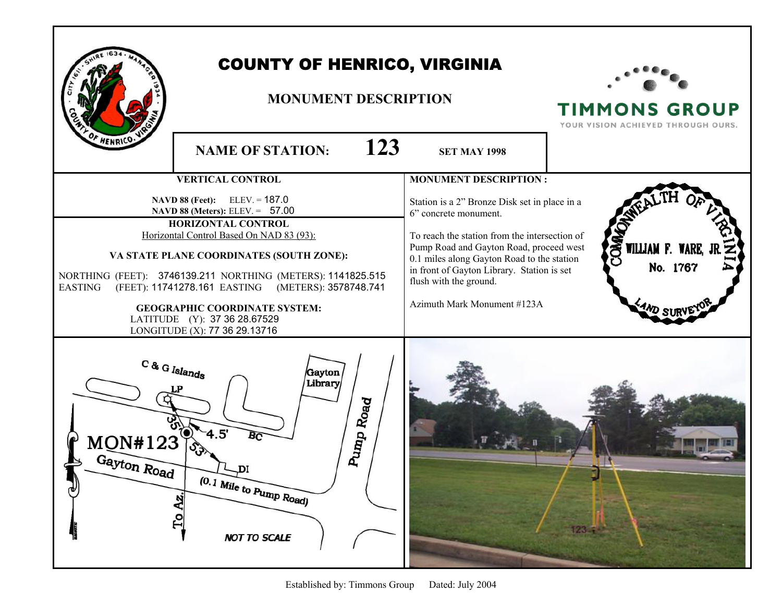|                                                      | <b>COUNTY OF HENRICO, VIRGINIA</b><br><b>MONUMENT DESCRIPTION</b>                                                                                                                                                                                                                                                                                                                                                     |                                                                                                                                                                                                                                                                                                                         | <b>TIMMONS GROUP</b><br>YOUR VISION ACHIEVED THROUGH OURS.    |
|------------------------------------------------------|-----------------------------------------------------------------------------------------------------------------------------------------------------------------------------------------------------------------------------------------------------------------------------------------------------------------------------------------------------------------------------------------------------------------------|-------------------------------------------------------------------------------------------------------------------------------------------------------------------------------------------------------------------------------------------------------------------------------------------------------------------------|---------------------------------------------------------------|
| F HENRICO:                                           | 123<br><b>NAME OF STATION:</b>                                                                                                                                                                                                                                                                                                                                                                                        | <b>SET MAY 1998</b>                                                                                                                                                                                                                                                                                                     |                                                               |
|                                                      | <b>VERTICAL CONTROL</b>                                                                                                                                                                                                                                                                                                                                                                                               | <b>MONUMENT DESCRIPTION:</b>                                                                                                                                                                                                                                                                                            |                                                               |
| <b>EASTING</b>                                       | <b>NAVD 88 (Feet):</b> ELEV. = $187.0$<br>NAVD 88 (Meters): ELEV. = 57.00<br>HORIZONTAL CONTROL<br>Horizontal Control Based On NAD 83 (93):<br>VA STATE PLANE COORDINATES (SOUTH ZONE):<br>NORTHING (FEET): 3746139.211 NORTHING (METERS): 1141825.515<br>(FEET): 11741278.161 EASTING (METERS): 3578748.741<br><b>GEOGRAPHIC COORDINATE SYSTEM:</b><br>LATITUDE (Y): 37 36 28.67529<br>LONGITUDE (X): 77 36 29.13716 | Station is a 2" Bronze Disk set in place in a<br>6" concrete monument.<br>To reach the station from the intersection of<br>Pump Road and Gayton Road, proceed west<br>0.1 miles along Gayton Road to the station<br>in front of Gayton Library. Station is set<br>flush with the ground.<br>Azimuth Mark Monument #123A | STILLIAM F. WARE,<br>No. 1767<br>$\frac{4}{1}$ <sub>SUT</sub> |
| $C$ & G Islands<br>MON#123<br>Gayton Road<br>J<br>£٥ | Gayton<br>Library<br>Pump Ro <sub>ad</sub><br>4.5'<br>Вĉ<br>(0.1 Mile to Pump Road)<br><b>NOT TO SCALE</b>                                                                                                                                                                                                                                                                                                            |                                                                                                                                                                                                                                                                                                                         |                                                               |